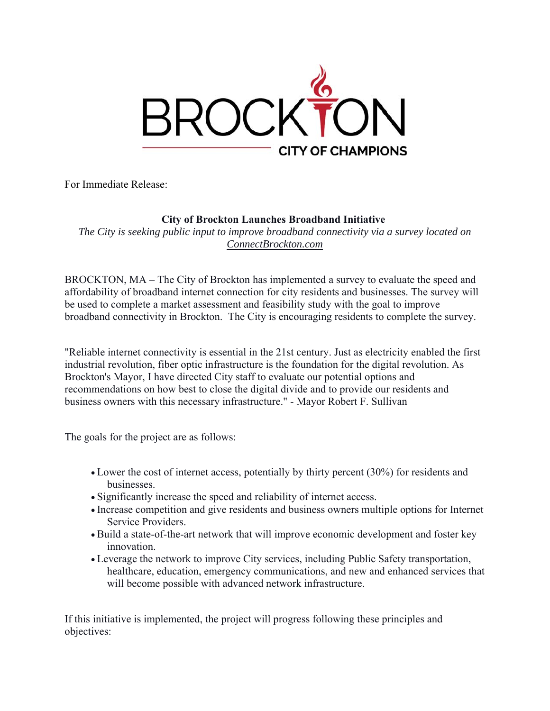

For Immediate Release:

## **City of Brockton Launches Broadband Initiative**

*The City is seeking public input to improve broadband connectivity via a survey located on ConnectBrockton.com* 

 broadband connectivity in Brockton. The City is encouraging residents to complete the survey. BROCKTON, MA – The City of Brockton has implemented a survey to evaluate the speed and affordability of broadband internet connection for city residents and businesses. The survey will be used to complete a market assessment and feasibility study with the goal to improve

"Reliable internet connectivity is essential in the 21st century. Just as electricity enabled the first industrial revolution, fiber optic infrastructure is the foundation for the digital revolution. As Brockton's Mayor, I have directed City staff to evaluate our potential options and recommendations on how best to close the digital divide and to provide our residents and business owners with this necessary infrastructure." - Mayor Robert F. Sullivan

The goals for the project are as follows:

- Lower the cost of internet access, potentially by thirty percent (30%) for residents and businesses.
- Significantly increase the speed and reliability of internet access.
- Increase competition and give residents and business owners multiple options for Internet Service Providers.
- Build a state-of-the-art network that will improve economic development and foster key innovation.
- Leverage the network to improve City services, including Public Safety transportation, healthcare, education, emergency communications, and new and enhanced services that will become possible with advanced network infrastructure.

If this initiative is implemented, the project will progress following these principles and objectives: